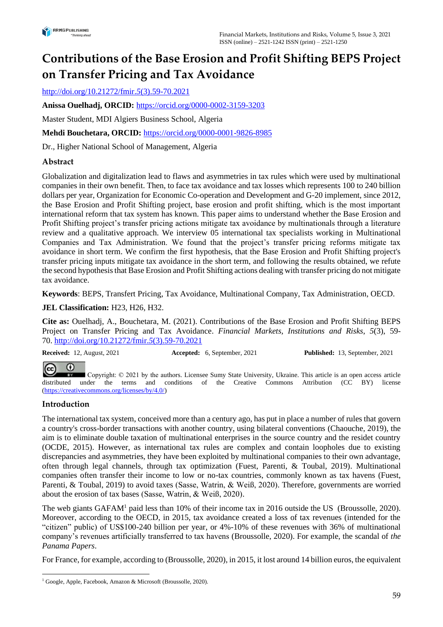# **Contributions of the Base Erosion and Profit Shifting BEPS Project on Transfer Pricing and Tax Avoidance**

[http://doi.org/10.21272/fmir.](http://doi.org/10.21272/fmir.5(3).59-70.202)*5*(3).59-70.2021

**Anissa Ouelhadj, ORCID:** <https://orcid.org/0000-0002-3159-3203>

Master Student, MDI Algiers Business School, Algeria

**Mehdi Bouchetara, ORCID:** <https://orcid.org/0000-0001-9826-8985>

Dr., Higher National School of Management, Algeria

# **Abstract**

Globalization and digitalization lead to flaws and asymmetries in tax rules which were used by multinational companies in their own benefit. Then, to face tax avoidance and tax losses which represents 100 to 240 billion dollars per year, Organization for Economic Co-operation and Development and G-20 implement, since 2012, the Base Erosion and Profit Shifting project, base erosion and profit shifting, which is the most important international reform that tax system has known. This paper aims to understand whether the Base Erosion and Profit Shifting project's transfer pricing actions mitigate tax avoidance by multinationals through a literature review and a qualitative approach. We interview 05 international tax specialists working in Multinational Companies and Tax Administration. We found that the project's transfer pricing reforms mitigate tax avoidance in short term. We confirm the first hypothesis, that the Base Erosion and Profit Shifting project's transfer pricing inputs mitigate tax avoidance in the short term, and following the results obtained, we refute the second hypothesis that Base Erosion and Profit Shifting actions dealing with transfer pricing do not mitigate tax avoidance.

**Keywords**: BEPS, Transfert Pricing, Tax Avoidance, Multinational Company, Tax Administration, OECD.

### **JEL Classification:** H23, H26, H32.

**Cite as:** Ouelhadj, A., Bouchetara, M. (2021). Contributions of the Base Erosion and Profit Shifting BEPS Project on Transfer Pricing and Tax Avoidance. *Financial Markets, Institutions and Risks*, *5*(3), 59- 70. [http://doi.org/10.21272/fmir.](http://doi.org/10.21272/fmir.5(3).59-70.202)*5*(3).59-70.2021

**Received:** 12, August, 2021 **Accepted:** 6, September, 2021 **Published:** 13, September, 2021

#### $\bf{G}$  $(cc)$

Copyright: © 2021 by the authors. Licensee Sumy State University, Ukraine. This article is an open access article distributed under the terms and conditions of the Creative Commons Attribution (CC BY) license [\(https://creativecommons.org/licenses/by/4.0/\)](https://creativecommons.org/licenses/by/4.0/)

### **Introduction**

The international tax system, conceived more than a century ago, has put in place a number of rules that govern a country's cross-border transactions with another country, using bilateral conventions (Chaouche, 2019), the aim is to eliminate double taxation of multinational enterprises in the source country and the residet country (OCDE, 2015). However, as international tax rules are complex and contain loopholes due to existing discrepancies and asymmetries, they have been exploited by multinational companies to their own advantage, often through legal channels, through tax optimization (Fuest, Parenti, & Toubal, 2019). Multinational companies often transfer their income to low or no-tax countries, commonly known as tax havens (Fuest, Parenti, & Toubal, 2019) to avoid taxes (Sasse, Watrin, & Weiß, 2020). Therefore, governments are worried about the erosion of tax bases (Sasse, Watrin, & Weiß, 2020).

The web giants GAFAM<sup>1</sup> paid less than 10% of their income tax in 2016 outside the US (Broussolle, 2020). Moreover, according to the OECD, in 2015, tax avoidance created a loss of tax revenues (intended for the "citizen" public) of US\$100-240 billion per year, or 4%-10% of these revenues with 36% of multinational company's revenues artificially transferred to tax havens (Broussolle, 2020). For example, the scandal of *the Panama Papers*.

For France, for example, according to (Broussolle, 2020), in 2015, it lost around 14 billion euros, the equivalent

<sup>1</sup> Google, Apple, Facebook, Amazon & Microsoft (Broussolle, 2020).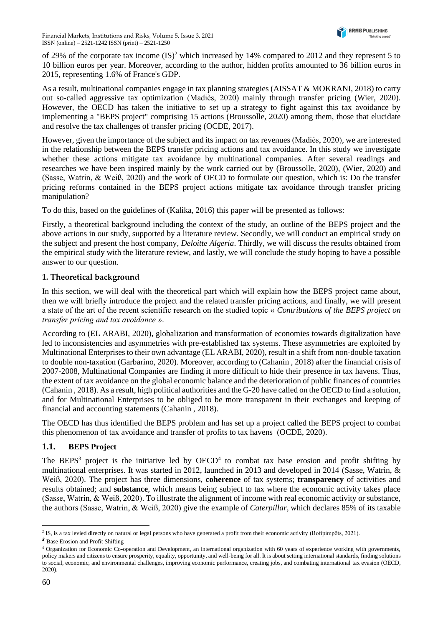

of 29% of the corporate tax income  $(IS)^2$  which increased by 14% compared to 2012 and they represent 5 to 10 billion euros per year. Moreover, according to the author, hidden profits amounted to 36 billion euros in 2015, representing 1.6% of France's GDP.

As a result, multinational companies engage in tax planning strategies (AISSAT & MOKRANI, 2018) to carry out so-called aggressive tax optimization (Madiès, 2020) mainly through transfer pricing (Wier, 2020). However, the OECD has taken the initiative to set up a strategy to fight against this tax avoidance by implementing a "BEPS project" comprising 15 actions (Broussolle, 2020) among them, those that elucidate and resolve the tax challenges of transfer pricing (OCDE, 2017).

However, given the importance of the subject and its impact on tax revenues (Madiès, 2020), we are interested in the relationship between the BEPS transfer pricing actions and tax avoidance. In this study we investigate whether these actions mitigate tax avoidance by multinational companies. After several readings and researches we have been inspired mainly by the work carried out by (Broussolle, 2020), (Wier, 2020) and (Sasse, Watrin, & Weiß, 2020) and the work of OECD to formulate our question, which is: Do the transfer pricing reforms contained in the BEPS project actions mitigate tax avoidance through transfer pricing manipulation?

To do this, based on the guidelines of (Kalika, 2016) this paper will be presented as follows:

Firstly, a theoretical background including the context of the study, an outline of the BEPS project and the above actions in our study, supported by a literature review. Secondly, we will conduct an empirical study on the subject and present the host company, *Deloitte Algeria*. Thirdly, we will discuss the results obtained from the empirical study with the literature review, and lastly, we will conclude the study hoping to have a possible answer to our question.

# **1. Theoretical background**

In this section, we will deal with the theoretical part which will explain how the BEPS project came about, then we will briefly introduce the project and the related transfer pricing actions, and finally, we will present a state of the art of the recent scientific research on the studied topic « *Contributions of the BEPS project on transfer pricing and tax avoidance »*.

According to (EL ARABI, 2020), globalization and transformation of economies towards digitalization have led to inconsistencies and asymmetries with pre-established tax systems. These asymmetries are exploited by Multinational Enterprises to their own advantage (EL ARABI, 2020), result in a shift from non-double taxation to double non-taxation (Garbarino, 2020). Moreover, according to (Cahanin , 2018) after the financial crisis of 2007-2008, Multinational Companies are finding it more difficult to hide their presence in tax havens. Thus, the extent of tax avoidance on the global economic balance and the deterioration of public finances of countries (Cahanin , 2018). As a result, high political authorities and the G-20 have called on the OECD to find a solution, and for Multinational Enterprises to be obliged to be more transparent in their exchanges and keeping of financial and accounting statements (Cahanin , 2018).

The OECD has thus identified the BEPS problem and has set up a project called the BEPS project to combat this phenomenon of tax avoidance and transfer of profits to tax havens (OCDE, 2020).

# **1.1. BEPS Project**

The BEPS<sup>3</sup> project is the initiative led by  $OECD<sup>4</sup>$  to combat tax base erosion and profit shifting by multinational enterprises. It was started in 2012, launched in 2013 and developed in 2014 (Sasse, Watrin, & Weiß, 2020). The project has three dimensions, **coherence** of tax systems; **transparency** of activities and results obtained; and **substance**, which means being subject to tax where the economic activity takes place (Sasse, Watrin, & Weiß, 2020). To illustrate the alignment of income with real economic activity or substance, the authors (Sasse, Watrin, & Weiß, 2020) give the example of *Caterpillar*, which declares 85% of its taxable

<sup>&</sup>lt;sup>2</sup> IS, is a tax levied directly on natural or legal persons who have generated a profit from their economic activity (Bofipimpôts, 2021).

*<sup>3</sup>* Base Erosion and Profit Shifting

<sup>4</sup> Organization for Economic Co-operation and Development, an international organization with 60 years of experience working with governments, policy makers and citizens to ensure prosperity, equality, opportunity, and well-being for all. It is about setting international standards, finding solutions to social, economic, and environmental challenges, improving economic performance, creating jobs, and combating international tax evasion (OECD, 2020).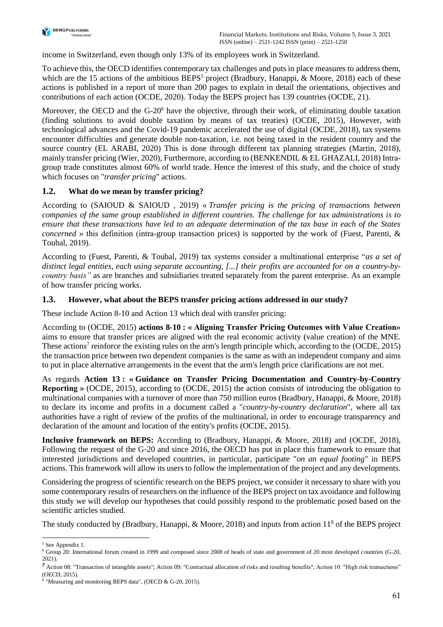

income in Switzerland, even though only 13% of its employees work in Switzerland.

To achieve this, the OECD identifies contemporary tax challenges and puts in place measures to address them, which are the 15 actions of the ambitious BEPS<sup>5</sup> project (Bradbury, Hanappi, & Moore, 2018) each of these actions is published in a report of more than 200 pages to explain in detail the orientations, objectives and contributions of each action (OCDE, 2020). Today the BEPS project has 139 countries (OCDE, 21).

Moreover, the OECD and the G-20<sup>6</sup> have the objective, through their work, of eliminating double taxation (finding solutions to avoid double taxation by means of tax treaties) (OCDE, 2015), However, with technological advances and the Covid-19 pandemic accelerated the use of digital (OCDE, 2018), tax systems encounter difficulties and generate double non-taxation, i.e. not being taxed in the resident country and the source country (EL ARABI, 2020) This is done through different tax planning strategies (Martin, 2018), mainly transfer pricing (Wier, 2020), Furthermore, according to (BENKENDIL & EL GHAZALI, 2018) Intragroup trade constitutes almost 60% of world trade. Hence the interest of this study, and the choice of study which focuses on "*transfer pricing*" actions.

### **1.2. What do we mean by transfer pricing?**

According to (SAIOUD & SAIOUD , 2019) « *Transfer pricing is the pricing of transactions between companies of the same group established in different countries. The challenge for tax administrations is to ensure that these transactions have led to an adequate determination of the tax base in each of the States concerned* » this definition (intra-group transaction prices) is supported by the work of (Fuest, Parenti, & Toubal, 2019).

According to (Fuest, Parenti, & Toubal, 2019) tax systems consider a multinational enterprise "*as a set of distinct legal entities, each using separate accounting, [...] their profits are accounted for on a country-bycountry basis"* as are branches and subsidiaries treated separately from the parent enterprise. As an example of how transfer pricing works.

### **1.3. However, what about the BEPS transfer pricing actions addressed in our study?**

These include Action 8-10 and Action 13 which deal with transfer pricing:

According to (OCDE, 2015) **actions 8-10 : « Aligning Transfer Pricing Outcomes with Value Creation»**  aims to ensure that transfer prices are aligned with the real economic activity (value creation) of the MNE. These actions<sup>7</sup> reinforce the existing rules on the arm's length principle which, according to the (OCDE, 2015) the transaction price between two dependent companies is the same as with an independent company and aims to put in place alternative arrangements in the event that the arm's length price clarifications are not met.

As regards **Action 13 : « Guidance on Transfer Pricing Documentation and Country-by-Country Reporting »** (OCDE, 2015), according to (OCDE, 2015) the action consists of introducing the obligation to multinational companies with a turnover of more than 750 million euros (Bradbury, Hanappi, & Moore, 2018) to declare its income and profits in a document called a "*country-by-country declaration*", where all tax authorities have a right of review of the profits of the multinational, in order to encourage transparency and declaration of the amount and location of the entity's profits (OCDE, 2015).

**Inclusive framework on BEPS:** According to (Bradbury, Hanappi, & Moore, 2018) and (OCDE, 2018), Following the request of the G-20 and since 2016, the OECD has put in place this framework to ensure that interested jurisdictions and developed countries, in particular, participate "*on an equal footing*" in BEPS actions. This framework will allow its users to follow the implementation of the project and any developments.

Considering the progress of scientific research on the BEPS project, we consider it necessary to share with you some contemporary results of researchers on the influence of the BEPS project on tax avoidance and following this study we will develop our hypotheses that could possibly respond to the problematic posed based on the scientific articles studied.

The study conducted by (Bradbury, Hanappi, & Moore, 2018) and inputs from action 11<sup>8</sup> of the BEPS project

<sup>5</sup> See Appendix 1.

 $6$  Group 20: International forum created in 1999 and composed since 2008 of heads of state and government of 20 most developed countries (G-20, 2021).

*<sup>7</sup>* Action 08: "Transaction of intangible assets"; Action 09: "Contractual allocation of risks and resulting benefits"; Action 10: "High risk transactions" (OECD, 2015).

<sup>8</sup> "Measuring and monitoring BEPS data", (OECD & G-20, 2015).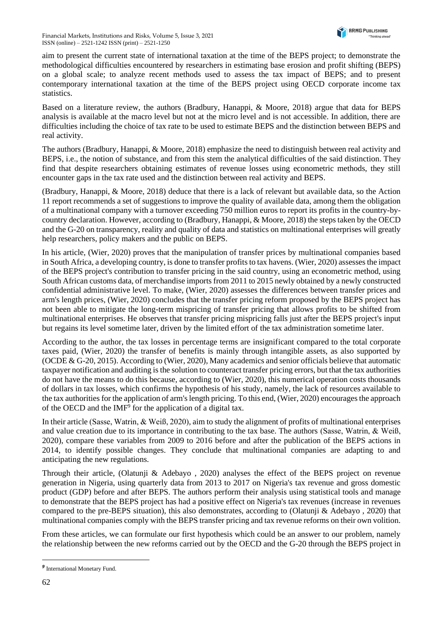aim to present the current state of international taxation at the time of the BEPS project; to demonstrate the methodological difficulties encountered by researchers in estimating base erosion and profit shifting (BEPS) on a global scale; to analyze recent methods used to assess the tax impact of BEPS; and to present contemporary international taxation at the time of the BEPS project using OECD corporate income tax statistics.

Based on a literature review, the authors (Bradbury, Hanappi, & Moore, 2018) argue that data for BEPS analysis is available at the macro level but not at the micro level and is not accessible. In addition, there are difficulties including the choice of tax rate to be used to estimate BEPS and the distinction between BEPS and real activity.

The authors (Bradbury, Hanappi, & Moore, 2018) emphasize the need to distinguish between real activity and BEPS, i.e., the notion of substance, and from this stem the analytical difficulties of the said distinction. They find that despite researchers obtaining estimates of revenue losses using econometric methods, they still encounter gaps in the tax rate used and the distinction between real activity and BEPS.

(Bradbury, Hanappi, & Moore, 2018) deduce that there is a lack of relevant but available data, so the Action 11 report recommends a set of suggestions to improve the quality of available data, among them the obligation of a multinational company with a turnover exceeding 750 million euros to report its profits in the country-bycountry declaration. However, according to (Bradbury, Hanappi, & Moore, 2018) the steps taken by the OECD and the G-20 on transparency, reality and quality of data and statistics on multinational enterprises will greatly help researchers, policy makers and the public on BEPS.

In his article, (Wier, 2020) proves that the manipulation of transfer prices by multinational companies based in South Africa, a developing country, is done to transfer profits to tax havens. (Wier, 2020) assesses the impact of the BEPS project's contribution to transfer pricing in the said country, using an econometric method, using South African customs data, of merchandise imports from 2011 to 2015 newly obtained by a newly constructed confidential administrative level. To make, (Wier, 2020) assesses the differences between transfer prices and arm's length prices, (Wier, 2020) concludes that the transfer pricing reform proposed by the BEPS project has not been able to mitigate the long-term mispricing of transfer pricing that allows profits to be shifted from multinational enterprises. He observes that transfer pricing mispricing falls just after the BEPS project's input but regains its level sometime later, driven by the limited effort of the tax administration sometime later.

According to the author, the tax losses in percentage terms are insignificant compared to the total corporate taxes paid, (Wier, 2020) the transfer of benefits is mainly through intangible assets, as also supported by (OCDE & G-20, 2015). According to (Wier, 2020), Many academics and senior officials believe that automatic taxpayer notification and auditing is the solution to counteract transfer pricing errors, but that the tax authorities do not have the means to do this because, according to (Wier, 2020), this numerical operation costs thousands of dollars in tax losses, which confirms the hypothesis of his study, namely, the lack of resources available to the tax authorities for the application of arm's length pricing. To this end, (Wier, 2020) encourages the approach of the OECD and the  $IMF<sup>9</sup>$  for the application of a digital tax.

In their article (Sasse, Watrin, & Weiß, 2020), aim to study the alignment of profits of multinational enterprises and value creation due to its importance in contributing to the tax base. The authors (Sasse, Watrin, & Weiß, 2020), compare these variables from 2009 to 2016 before and after the publication of the BEPS actions in 2014, to identify possible changes. They conclude that multinational companies are adapting to and anticipating the new regulations.

Through their article, (Olatunji & Adebayo , 2020) analyses the effect of the BEPS project on revenue generation in Nigeria, using quarterly data from 2013 to 2017 on Nigeria's tax revenue and gross domestic product (GDP) before and after BEPS. The authors perform their analysis using statistical tools and manage to demonstrate that the BEPS project has had a positive effect on Nigeria's tax revenues (increase in revenues compared to the pre-BEPS situation), this also demonstrates, according to (Olatunji & Adebayo , 2020) that multinational companies comply with the BEPS transfer pricing and tax revenue reforms on their own volition.

From these articles, we can formulate our first hypothesis which could be an answer to our problem, namely the relationship between the new reforms carried out by the OECD and the G-20 through the BEPS project in

*<sup>9</sup>* International Monetary Fund.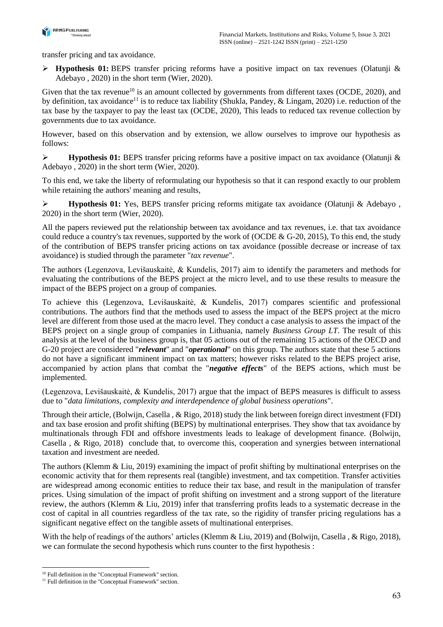

transfer pricing and tax avoidance.

➢ **Hypothesis 01:** BEPS transfer pricing reforms have a positive impact on tax revenues (Olatunji & Adebayo , 2020) in the short term (Wier, 2020).

Given that the tax revenue<sup>10</sup> is an amount collected by governments from different taxes (OCDE, 2020), and by definition, tax avoidance<sup>11</sup> is to reduce tax liability (Shukla, Pandey, & Lingam, 2020) i.e. reduction of the tax base by the taxpayer to pay the least tax (OCDE, 2020), This leads to reduced tax revenue collection by governments due to tax avoidance.

However, based on this observation and by extension, we allow ourselves to improve our hypothesis as follows:

➢ **Hypothesis 01:** BEPS transfer pricing reforms have a positive impact on tax avoidance (Olatunji & Adebayo , 2020) in the short term (Wier, 2020).

To this end, we take the liberty of reformulating our hypothesis so that it can respond exactly to our problem while retaining the authors' meaning and results,

➢ **Hypothesis 01:** Yes, BEPS transfer pricing reforms mitigate tax avoidance (Olatunji & Adebayo , 2020) in the short term (Wier, 2020).

All the papers reviewed put the relationship between tax avoidance and tax revenues, i.e. that tax avoidance could reduce a country's tax revenues, supported by the work of (OCDE & G-20, 2015), To this end, the study of the contribution of BEPS transfer pricing actions on tax avoidance (possible decrease or increase of tax avoidance) is studied through the parameter "*tax revenue*".

The authors (Legenzova, Levišauskaitė, & Kundelis, 2017) aim to identify the parameters and methods for evaluating the contributions of the BEPS project at the micro level, and to use these results to measure the impact of the BEPS project on a group of companies.

To achieve this (Legenzova, Levišauskaitė, & Kundelis, 2017) compares scientific and professional contributions. The authors find that the methods used to assess the impact of the BEPS project at the micro level are different from those used at the macro level. They conduct a case analysis to assess the impact of the BEPS project on a single group of companies in Lithuania, namely *Business Group LT*. The result of this analysis at the level of the business group is, that 05 actions out of the remaining 15 actions of the OECD and G-20 project are considered "*relevant*" and "*operational*" on this group. The authors state that these 5 actions do not have a significant imminent impact on tax matters; however risks related to the BEPS project arise, accompanied by action plans that combat the "*negative effects*" of the BEPS actions, which must be implemented.

(Legenzova, Levišauskaitė, & Kundelis, 2017) argue that the impact of BEPS measures is difficult to assess due to "*data limitations, complexity and interdependence of global business operations*".

Through their article, (Bolwijn, Casella , & Rigo, 2018) study the link between foreign direct investment (FDI) and tax base erosion and profit shifting (BEPS) by multinational enterprises. They show that tax avoidance by multinationals through FDI and offshore investments leads to leakage of development finance. (Bolwijn, Casella , & Rigo, 2018) conclude that, to overcome this, cooperation and synergies between international taxation and investment are needed.

The authors (Klemm & Liu, 2019) examining the impact of profit shifting by multinational enterprises on the economic activity that for them represents real (tangible) investment, and tax competition. Transfer activities are widespread among economic entities to reduce their tax base, and result in the manipulation of transfer prices. Using simulation of the impact of profit shifting on investment and a strong support of the literature review, the authors (Klemm & Liu, 2019) infer that transferring profits leads to a systematic decrease in the cost of capital in all countries regardless of the tax rate, so the rigidity of transfer pricing regulations has a significant negative effect on the tangible assets of multinational enterprises.

With the help of readings of the authors' articles (Klemm & Liu, 2019) and (Bolwijn, Casella, & Rigo, 2018), we can formulate the second hypothesis which runs counter to the first hypothesis :

<sup>10</sup> Full definition in the "Conceptual Framework" section.

<sup>&</sup>lt;sup>11</sup> Full definition in the "Conceptual Framework" section.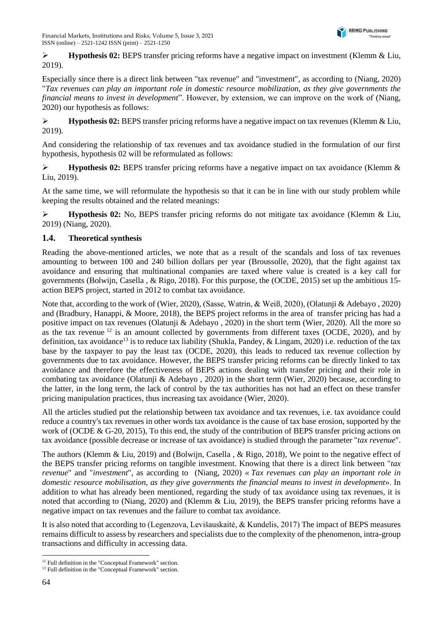

➢ **Hypothesis 02:** BEPS transfer pricing reforms have a negative impact on investment (Klemm & Liu, 2019).

Especially since there is a direct link between "tax revenue" and "investment", as according to (Niang, 2020) "*Tax revenues can play an important role in domestic resource mobilization, as they give governments the financial means to invest in development*". However, by extension, we can improve on the work of (Niang, 2020) our hypothesis as follows:

➢ **Hypothesis 02:** BEPS transfer pricing reforms have a negative impact on tax revenues (Klemm & Liu, 2019).

And considering the relationship of tax revenues and tax avoidance studied in the formulation of our first hypothesis, hypothesis 02 will be reformulated as follows:

➢ **Hypothesis 02:** BEPS transfer pricing reforms have a negative impact on tax avoidance (Klemm & Liu, 2019).

At the same time, we will reformulate the hypothesis so that it can be in line with our study problem while keeping the results obtained and the related meanings:

➢ **Hypothesis 02:** No, BEPS transfer pricing reforms do not mitigate tax avoidance (Klemm & Liu, 2019) (Niang, 2020).

# **1.4. Theoretical synthesis**

Reading the above-mentioned articles, we note that as a result of the scandals and loss of tax revenues amounting to between 100 and 240 billion dollars per year (Broussolle, 2020), that the fight against tax avoidance and ensuring that multinational companies are taxed where value is created is a key call for governments (Bolwijn, Casella , & Rigo, 2018). For this purpose, the (OCDE, 2015) set up the ambitious 15 action BEPS project, started in 2012 to combat tax avoidance.

Note that, according to the work of (Wier, 2020), (Sasse, Watrin, & Weiß, 2020), (Olatunji & Adebayo , 2020) and (Bradbury, Hanappi, & Moore, 2018), the BEPS project reforms in the area of transfer pricing has had a positive impact on tax revenues (Olatunji & Adebayo , 2020) in the short term (Wier, 2020). All the more so as the tax revenue  $12$  is an amount collected by governments from different taxes (OCDE, 2020), and by definition, tax avoidance<sup>13</sup> is to reduce tax liability (Shukla, Pandey, & Lingam, 2020) i.e. reduction of the tax base by the taxpayer to pay the least tax (OCDE, 2020), this leads to reduced tax revenue collection by governments due to tax avoidance. However, the BEPS transfer pricing reforms can be directly linked to tax avoidance and therefore the effectiveness of BEPS actions dealing with transfer pricing and their role in combating tax avoidance (Olatunji & Adebayo , 2020) in the short term (Wier, 2020) because, according to the latter, in the long term, the lack of control by the tax authorities has not had an effect on these transfer pricing manipulation practices, thus increasing tax avoidance (Wier, 2020).

All the articles studied put the relationship between tax avoidance and tax revenues, i.e. tax avoidance could reduce a country's tax revenues in other words tax avoidance is the cause of tax base erosion, supported by the work of (OCDE & G-20, 2015), To this end, the study of the contribution of BEPS transfer pricing actions on tax avoidance (possible decrease or increase of tax avoidance) is studied through the parameter "*tax revenue*".

The authors (Klemm & Liu, 2019) and (Bolwijn, Casella , & Rigo, 2018), We point to the negative effect of the BEPS transfer pricing reforms on tangible investment. Knowing that there is a direct link between "*tax revenue*" and "*investment*", as according to (Niang, 2020) « *Tax revenues can play an important role in domestic resource mobilisation, as they give governments the financial means to invest in development*». In addition to what has already been mentioned, regarding the study of tax avoidance using tax revenues, it is noted that according to (Niang, 2020) and (Klemm & Liu, 2019), the BEPS transfer pricing reforms have a negative impact on tax revenues and the failure to combat tax avoidance.

It is also noted that according to (Legenzova, Levišauskaitė, & Kundelis, 2017) The impact of BEPS measures remains difficult to assess by researchers and specialists due to the complexity of the phenomenon, intra-group transactions and difficulty in accessing data.

<sup>&</sup>lt;sup>12</sup> Full definition in the "Conceptual Framework" section.

<sup>&</sup>lt;sup>13</sup> Full definition in the "Conceptual Framework" section.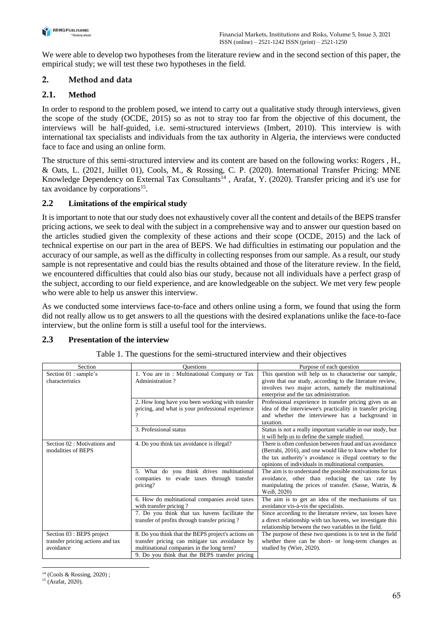

We were able to develop two hypotheses from the literature review and in the second section of this paper, the empirical study; we will test these two hypotheses in the field.

# **2. Method and data**

# **2.1. Method**

In order to respond to the problem posed, we intend to carry out a qualitative study through interviews, given the scope of the study (OCDE, 2015) so as not to stray too far from the objective of this document, the interviews will be half-guided, i.e. semi-structured interviews (Imbert, 2010). This interview is with international tax specialists and individuals from the tax authority in Algeria, the interviews were conducted face to face and using an online form.

The structure of this semi-structured interview and its content are based on the following works: Rogers , H., & Oats, L. (2021, Juillet 01), Cools, M., & Rossing, C. P. (2020). International Transfer Pricing: MNE Knowledge Dependency on External Tax Consultants<sup>14</sup>, Arafat, Y. (2020). Transfer pricing and it's use for tax avoidance by corporations<sup>15</sup>.

# **2.2 Limitations of the empirical study**

It is important to note that our study does not exhaustively cover all the content and details of the BEPS transfer pricing actions, we seek to deal with the subject in a comprehensive way and to answer our question based on the articles studied given the complexity of these actions and their scope (OCDE, 2015) and the lack of technical expertise on our part in the area of BEPS. We had difficulties in estimating our population and the accuracy of our sample, as well as the difficulty in collecting responses from our sample. As a result, our study sample is not representative and could bias the results obtained and those of the literature review. In the field, we encountered difficulties that could also bias our study, because not all individuals have a perfect grasp of the subject, according to our field experience, and are knowledgeable on the subject. We met very few people who were able to help us answer this interview.

As we conducted some interviews face-to-face and others online using a form, we found that using the form did not really allow us to get answers to all the questions with the desired explanations unlike the face-to-face interview, but the online form is still a useful tool for the interviews.

### **2.3 Presentation of the interview**

| Section                          | <b>Ouestions</b>                                   | Purpose of each question                                    |
|----------------------------------|----------------------------------------------------|-------------------------------------------------------------|
| Section 01 : sample's            | 1. You are in: Multinational Company or Tax        | This question will help us to characterise our sample,      |
| characteristics                  | Administration?                                    | given that our study, according to the literature review,   |
|                                  |                                                    | involves two major actors, namely the multinational         |
|                                  |                                                    | enterprise and the tax administration.                      |
|                                  | 2. How long have you been working with transfer    | Professional experience in transfer pricing gives us an     |
|                                  | pricing, and what is your professional experience  | idea of the interviewee's practicality in transfer pricing  |
|                                  |                                                    | and whether the interviewee has a background in             |
|                                  |                                                    | taxation.                                                   |
|                                  | 3. Professional status                             | Status is not a really important variable in our study, but |
|                                  |                                                    | it will help us to define the sample studied.               |
| Section 02 : Motivations and     | 4. Do you think tax avoidance is illegal?          | There is often confusion between fraud and tax avoidance    |
| modalities of BEPS               |                                                    | (Berrahi, 2016), and one would like to know whether for     |
|                                  |                                                    | the tax authority's avoidance is illegal contrary to the    |
|                                  |                                                    | opinions of individuals in multinational companies.         |
|                                  | 5. What do you think drives multinational          | The aim is to understand the possible motivations for tax   |
|                                  | companies to evade taxes through transfer          | avoidance, other than reducing the tax rate by              |
|                                  | pricing?                                           | manipulating the prices of transfer. (Sasse, Watrin, &      |
|                                  |                                                    | Weiß, 2020)                                                 |
|                                  | 6. How do multinational companies avoid taxes      | The aim is to get an idea of the mechanisms of tax          |
|                                  | with transfer pricing?                             | avoidance vis-à-vis the specialists.                        |
|                                  | 7. Do you think that tax havens facilitate the     | Since according to the literature review, tax losses have   |
|                                  | transfer of profits through transfer pricing?      | a direct relationship with tax havens, we investigate this  |
|                                  |                                                    | relationship between the two variables in the field.        |
| Section 03 : BEPS project        | 8. Do you think that the BEPS project's actions on | The purpose of these two questions is to test in the field  |
| transfer pricing actions and tax | transfer pricing can mitigate tax avoidance by     | whether there can be short- or long-term changes as         |
| avoidance                        | multinational companies in the long term?          | studied by (Wier, 2020).                                    |
|                                  | 9. Do you think that the BEPS transfer pricing     |                                                             |

Table 1. The questions for the semi-structured interview and their objectives

<sup>14</sup> (Cools & Rossing, 2020) ;

 $15$  (Arafat, 2020).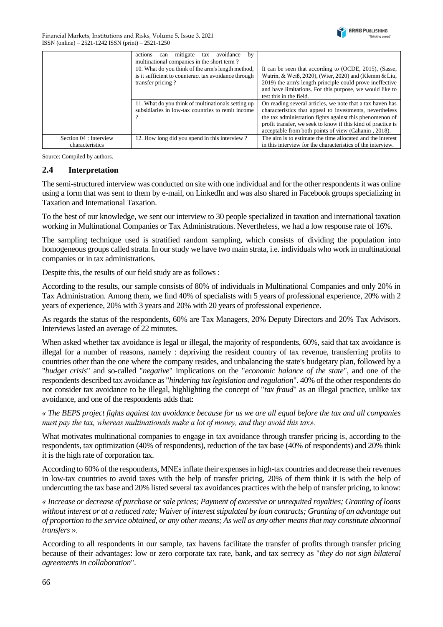

Financial Markets, Institutions and Risks, Volume 5, Issue 3, 2021 ISSN (online) – 2521-1242 ISSN (print) – 2521-1250

|                                           | mitigate<br>avoidance<br>by<br>actions<br>tax<br>can<br>multinational companies in the short term?                             |                                                                                                                                                                                                                                                                                                           |
|-------------------------------------------|--------------------------------------------------------------------------------------------------------------------------------|-----------------------------------------------------------------------------------------------------------------------------------------------------------------------------------------------------------------------------------------------------------------------------------------------------------|
|                                           | 10. What do you think of the arm's length method,<br>is it sufficient to counteract tax avoidance through<br>transfer pricing? | It can be seen that according to (OCDE, 2015), (Sasse,<br>Watrin, & Weiß, 2020), (Wier, 2020) and (Klemm & Liu,<br>2019) the arm's length principle could prove ineffective<br>and have limitations. For this purpose, we would like to<br>test this in the field.                                        |
|                                           | 11. What do you think of multinationals setting up<br>subsidiaries in low-tax countries to remit income                        | On reading several articles, we note that a tax haven has<br>characteristics that appeal to investments, nevertheless<br>the tax administration fights against this phenomenon of<br>profit transfer, we seek to know if this kind of practice is<br>acceptable from both points of view (Cahanin, 2018). |
| Section 04 : Interview<br>characteristics | 12. How long did you spend in this interview?                                                                                  | The aim is to estimate the time allocated and the interest<br>in this interview for the characteristics of the interview.                                                                                                                                                                                 |

Source: Compiled by authors.

#### **2.4 Interpretation**

The semi-structured interview was conducted on site with one individual and for the other respondents it was online using a form that was sent to them by e-mail, on LinkedIn and was also shared in Facebook groups specializing in Taxation and International Taxation.

To the best of our knowledge, we sent our interview to 30 people specialized in taxation and international taxation working in Multinational Companies or Tax Administrations. Nevertheless, we had a low response rate of 16%.

The sampling technique used is stratified random sampling, which consists of dividing the population into homogeneous groups called strata. In our study we have two main strata, i.e. individuals who work in multinational companies or in tax administrations.

Despite this, the results of our field study are as follows :

According to the results, our sample consists of 80% of individuals in Multinational Companies and only 20% in Tax Administration. Among them, we find 40% of specialists with 5 years of professional experience, 20% with 2 years of experience, 20% with 3 years and 20% with 20 years of professional experience.

As regards the status of the respondents, 60% are Tax Managers, 20% Deputy Directors and 20% Tax Advisors. Interviews lasted an average of 22 minutes.

When asked whether tax avoidance is legal or illegal, the majority of respondents, 60%, said that tax avoidance is illegal for a number of reasons, namely : depriving the resident country of tax revenue, transferring profits to countries other than the one where the company resides, and unbalancing the state's budgetary plan, followed by a "*budget crisis*" and so-called "*negative*" implications on the "*economic balance of the state*", and one of the respondents described tax avoidance as "*hindering tax legislation and regulation*". 40% of the other respondents do not consider tax avoidance to be illegal, highlighting the concept of "*tax fraud*" as an illegal practice, unlike tax avoidance, and one of the respondents adds that:

*« The BEPS project fights against tax avoidance because for us we are all equal before the tax and all companies must pay the tax, whereas multinationals make a lot of money, and they avoid this tax».*

What motivates multinational companies to engage in tax avoidance through transfer pricing is, according to the respondents, tax optimization (40% of respondents), reduction of the tax base (40% of respondents) and 20% think it is the high rate of corporation tax.

According to 60% of the respondents, MNEs inflate their expenses in high-tax countries and decrease their revenues in low-tax countries to avoid taxes with the help of transfer pricing, 20% of them think it is with the help of undercutting the tax base and 20% listed several tax avoidances practices with the help of transfer pricing, to know:

*« Increase or decrease of purchase or sale prices; Payment of excessive or unrequited royalties; Granting of loans without interest or at a reduced rate; Waiver of interest stipulated by loan contracts; Granting of an advantage out of proportion to the service obtained, or any other means; As well as any other means that may constitute abnormal transfers* ».

According to all respondents in our sample, tax havens facilitate the transfer of profits through transfer pricing because of their advantages: low or zero corporate tax rate, bank, and tax secrecy as "*they do not sign bilateral agreements in collaboration*".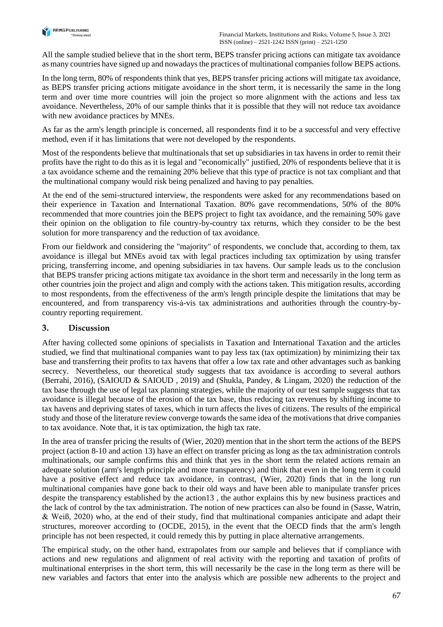

All the sample studied believe that in the short term, BEPS transfer pricing actions can mitigate tax avoidance as many countries have signed up and nowadays the practices of multinational companies follow BEPS actions.

In the long term, 80% of respondents think that yes, BEPS transfer pricing actions will mitigate tax avoidance, as BEPS transfer pricing actions mitigate avoidance in the short term, it is necessarily the same in the long term and over time more countries will join the project so more alignment with the actions and less tax avoidance. Nevertheless, 20% of our sample thinks that it is possible that they will not reduce tax avoidance with new avoidance practices by MNEs.

As far as the arm's length principle is concerned, all respondents find it to be a successful and very effective method, even if it has limitations that were not developed by the respondents.

Most of the respondents believe that multinationals that set up subsidiaries in tax havens in order to remit their profits have the right to do this as it is legal and "economically" justified, 20% of respondents believe that it is a tax avoidance scheme and the remaining 20% believe that this type of practice is not tax compliant and that the multinational company would risk being penalized and having to pay penalties.

At the end of the semi-structured interview, the respondents were asked for any recommendations based on their experience in Taxation and International Taxation. 80% gave recommendations, 50% of the 80% recommended that more countries join the BEPS project to fight tax avoidance, and the remaining 50% gave their opinion on the obligation to file country-by-country tax returns, which they consider to be the best solution for more transparency and the reduction of tax avoidance.

From our fieldwork and considering the "majority" of respondents, we conclude that, according to them, tax avoidance is illegal but MNEs avoid tax with legal practices including tax optimization by using transfer pricing, transferring income, and opening subsidiaries in tax havens. Our sample leads us to the conclusion that BEPS transfer pricing actions mitigate tax avoidance in the short term and necessarily in the long term as other countries join the project and align and comply with the actions taken. This mitigation results, according to most respondents, from the effectiveness of the arm's length principle despite the limitations that may be encountered, and from transparency vis-à-vis tax administrations and authorities through the country-bycountry reporting requirement.

### **3. Discussion**

After having collected some opinions of specialists in Taxation and International Taxation and the articles studied, we find that multinational companies want to pay less tax (tax optimization) by minimizing their tax base and transferring their profits to tax havens that offer a low tax rate and other advantages such as banking secrecy. Nevertheless, our theoretical study suggests that tax avoidance is according to several authors (Berrahi, 2016), (SAIOUD & SAIOUD , 2019) and (Shukla, Pandey, & Lingam, 2020) the reduction of the tax base through the use of legal tax planning strategies, while the majority of our test sample suggests that tax avoidance is illegal because of the erosion of the tax base, thus reducing tax revenues by shifting income to tax havens and depriving states of taxes, which in turn affects the lives of citizens. The results of the empirical study and those of the literature review converge towards the same idea of the motivations that drive companies to tax avoidance. Note that, it is tax optimization, the high tax rate.

In the area of transfer pricing the results of (Wier, 2020) mention that in the short term the actions of the BEPS project (action 8-10 and action 13) have an effect on transfer pricing as long as the tax administration controls multinationals, our sample confirms this and think that yes in the short term the related actions remain an adequate solution (arm's length principle and more transparency) and think that even in the long term it could have a positive effect and reduce tax avoidance, in contrast, (Wier, 2020) finds that in the long run multinational companies have gone back to their old ways and have been able to manipulate transfer prices despite the transparency established by the action13 , the author explains this by new business practices and the lack of control by the tax administration. The notion of new practices can also be found in (Sasse, Watrin, & Weiß, 2020) who, at the end of their study, find that multinational companies anticipate and adapt their structures, moreover according to (OCDE, 2015), in the event that the OECD finds that the arm's length principle has not been respected, it could remedy this by putting in place alternative arrangements.

The empirical study, on the other hand, extrapolates from our sample and believes that if compliance with actions and new regulations and alignment of real activity with the reporting and taxation of profits of multinational enterprises in the short term, this will necessarily be the case in the long term as there will be new variables and factors that enter into the analysis which are possible new adherents to the project and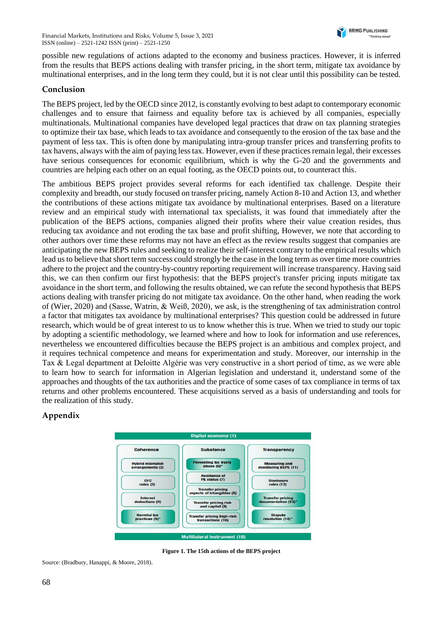possible new regulations of actions adapted to the economy and business practices. However, it is inferred from the results that BEPS actions dealing with transfer pricing, in the short term, mitigate tax avoidance by multinational enterprises, and in the long term they could, but it is not clear until this possibility can be tested.

### **Conclusion**

The BEPS project, led by the OECD since 2012, is constantly evolving to best adapt to contemporary economic challenges and to ensure that fairness and equality before tax is achieved by all companies, especially multinationals. Multinational companies have developed legal practices that draw on tax planning strategies to optimize their tax base, which leads to tax avoidance and consequently to the erosion of the tax base and the payment of less tax. This is often done by manipulating intra-group transfer prices and transferring profits to tax havens, always with the aim of paying less tax. However, even if these practices remain legal, their excesses have serious consequences for economic equilibrium, which is why the G-20 and the governments and countries are helping each other on an equal footing, as the OECD points out, to counteract this.

The ambitious BEPS project provides several reforms for each identified tax challenge. Despite their complexity and breadth, our study focused on transfer pricing, namely Action 8-10 and Action 13, and whether the contributions of these actions mitigate tax avoidance by multinational enterprises. Based on a literature review and an empirical study with international tax specialists, it was found that immediately after the publication of the BEPS actions, companies aligned their profits where their value creation resides, thus reducing tax avoidance and not eroding the tax base and profit shifting, However, we note that according to other authors over time these reforms may not have an effect as the review results suggest that companies are anticipating the new BEPS rules and seeking to realize their self-interest contrary to the empirical results which lead us to believe that short term success could strongly be the case in the long term as over time more countries adhere to the project and the country-by-country reporting requirement will increase transparency. Having said this, we can then confirm our first hypothesis: that the BEPS project's transfer pricing inputs mitigate tax avoidance in the short term, and following the results obtained, we can refute the second hypothesis that BEPS actions dealing with transfer pricing do not mitigate tax avoidance. On the other hand, when reading the work of (Wier, 2020) and (Sasse, Watrin, & Weiß, 2020), we ask, is the strengthening of tax administration control a factor that mitigates tax avoidance by multinational enterprises? This question could be addressed in future research, which would be of great interest to us to know whether this is true. When we tried to study our topic by adopting a scientific methodology, we learned where and how to look for information and use references, nevertheless we encountered difficulties because the BEPS project is an ambitious and complex project, and it requires technical competence and means for experimentation and study. Moreover, our internship in the Tax & Legal department at Deloitte Algérie was very constructive in a short period of time, as we were able to learn how to search for information in Algerian legislation and understand it, understand some of the approaches and thoughts of the tax authorities and the practice of some cases of tax compliance in terms of tax returns and other problems encountered. These acquisitions served as a basis of understanding and tools for the realization of this study.

### **Appendix**



**Figure 1. The 15th actions of the BEPS project**

Source: (Bradbury, Hanappi, & Moore, 2018).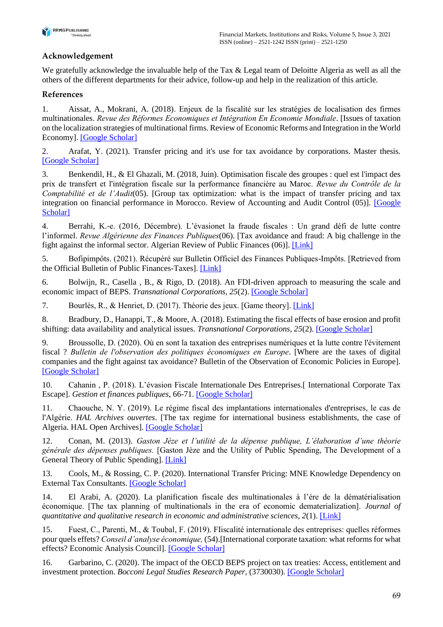

# **Acknowledgement**

We gratefully acknowledge the invaluable help of the Tax & Legal team of Deloitte Algeria as well as all the others of the different departments for their advice, follow-up and help in the realization of this article.

# **References**

1. Aissat, A., Mokrani, A. (2018). Enjeux de la fiscalité sur les stratégies de localisation des firmes multinationales. *Revue des Réformes Economiques et Intégration En Economie Mondiale*. [Issues of taxation on the localization strategies of multinational firms. Review of Economic Reforms and Integration in the World Economy]. [\[Google Scholar\]](https://scholar.google.com/scholar?hl=ru&as_sdt=0%2C5&q=AISSAT%2C+A.%2C+%26+MOKRANI%2C+A.+%282018%29.+Enjeux+de+la+fiscalit%C3%A9+sur+les+strat%C3%A9gies+de+localisation+des+firmes+multinationales.+Revue+des+R%C3%A9formes+Economiques+et+Int%C3%A9gration+En+Economie+Mondiale.&btnG=)

2. Arafat, Y. (2021). Transfer pricing and it's use for tax avoidance by corporations. Master thesis. [\[Google Scholar\]](https://scholar.google.com/scholar?hl=ru&as_sdt=0%2C5&q=2.%09Arafat%2C+Y.+%282020%29.+Transfer+pricing+and+it%27s+use+for+tax+avoidance+by+corporations.&btnG=)

3. Benkendil, H., & El Ghazali, M. (2018, Juin). Optimisation fiscale des groupes : quel est l'impact des prix de transfert et l'intégration fiscale sur la performance financière au Maroc. *Revue du Contrôle de la Comptabilité et de l'Audit*(05). [Group tax optimization: what is the impact of transfer pricing and tax integration on financial performance in Morocco. Review of Accounting and Audit Control (05)]. [\[Google](https://scholar.google.com/scholar?cluster=17591264623660988362&hl=ru&as_sdt=0,5)  [Scholar\]](https://scholar.google.com/scholar?cluster=17591264623660988362&hl=ru&as_sdt=0,5)

4. Berrahi, K.-e. (2016, Décembre). L'évasionet la fraude fiscales : Un grand défi de lutte contre l'informel. *Revue Algérienne des Finances Publiques*(06). [Tax avoidance and fraud: A big challenge in the fight against the informal sector. Algerian Review of Public Finances (06)]. [\[Link\]](https://www.asjp.cerist.dz/en/article/85839)

5. Bofipimpôts. (2021). Récupéré sur Bulletin Officiel des Finances Publiques-Impôts. [Retrieved from the Official Bulletin of Public Finances-Taxes]. [\[Link\]](https://bofip.impots.gouv.fr/)

6. Bolwijn, R., Casella , B., & Rigo, D. (2018). An FDI-driven approach to measuring the scale and economic impact of BEPS. *Transnational Corporations, 25*(2). [\[Google Scholar\]](https://scholar.google.com/scholar?cluster=16903698768084755719&hl=ru&as_sdt=0,5)

7. Bourlès, R., & Henriet, D. (2017). Théorie des jeux. [Game theory]. [\[Link\]](http://renaud.bourles.perso.centrale-marseille.fr/Cours/Theorie_des_jeux.pdf)

8. Bradbury, D., Hanappi, T., & Moore, A. (2018). Estimating the fiscal effects of base erosion and profit shifting: data availability and analytical issues. *Transnational Corporations*, 25(2). [\[Google Scholar\]](https://scholar.google.com/scholar?cluster=15002044321010326186&hl=ru&as_sdt=0,5)

9. Broussolle, D. (2020). Où en sont la taxation des entreprises numériques et la lutte contre l'évitement fiscal ? *Bulletin de l'observation des politiques économiques en Europe*. [Where are the taxes of digital companies and the fight against tax avoidance? Bulletin of the Observation of Economic Policies in Europe]. [\[Google Scholar\]](https://scholar.google.com/scholar?cluster=3919225172496813888&hl=ru&as_sdt=0,5)

10. Cahanin , P. (2018). L'évasion Fiscale Internationale Des Entreprises.[ International Corporate Tax Escape]. *Gestion et finances publiques*, 66-71. [\[Google Scholar\]](https://scholar.google.com/scholar?cluster=12023007274897702119&hl=ru&as_sdt=0,5)

11. Chaouche, N. Y. (2019). Le régime fiscal des implantations internationales d'entreprises, le cas de l'Algérie. *HAL Archives ouvertes*. [The tax regime for international business establishments, the case of Algeria. HAL Open Archives]. [\[Google Scholar\]](https://scholar.google.com/scholar?cluster=7500595544131278533&hl=ru&as_sdt=0,5)

12. Conan, M. (2013). *Gaston Jèze et l'utilité de la dépense publique, L'élaboration d'une théorie générale des dépenses publiques.* [Gaston Jèze and the Utility of Public Spending, The Development of a General Theory of Public Spending]. [\[Link\]](https://books.openedition.org/igpde/2900)

13. Cools, M., & Rossing, C. P. (2020). International Transfer Pricing: MNE Knowledge Dependency on External Tax Consultants. [\[Google Scholar\]](https://scholar.google.com/scholar?cluster=8454594505853547497&hl=ru&as_sdt=0,5)

14. El Arabi, A. (2020). La planification fiscale des multinationales à l'ére de la dématérialisation économique. [The tax planning of multinationals in the era of economic dematerialization]. *Journal of quantitative and qualitative research in economic and administrative sciences, 2*(1). [\[Link\]](https://www.asjp.cerist.dz/en/article/151051)

15. Fuest, C., Parenti, M., & Toubal, F. (2019). FIiscalité internationale des entreprises: quelles réformes pour quels effets? *Conseil d'analyse économique,* (54).[International corporate taxation: what reforms for what effects? Economic Analysis Council]. [\[Google Scholar\]](https://scholar.google.com/scholar?cluster=3159347940066814222&hl=ru&as_sdt=0,5)

16. Garbarino, C. (2020). The impact of the OECD BEPS project on tax treaties: Access, entitlement and investment protection. *Bocconi Legal Studies Research Paper*, (3730030). [\[Google Scholar\]](https://scholar.google.com/scholar?cluster=13385002771279022976&hl=ru&as_sdt=0,5)